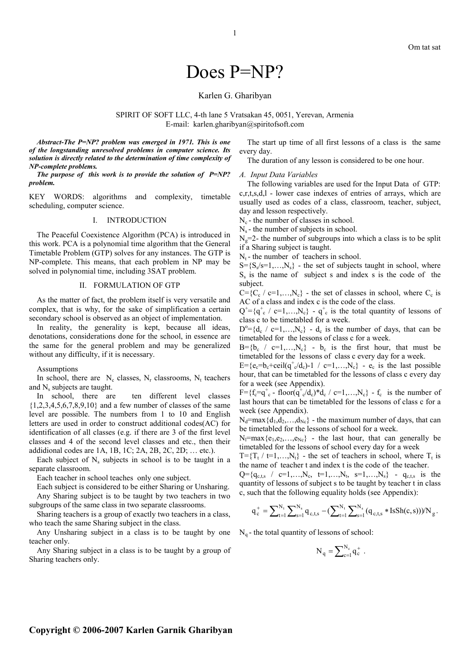# Does P=NP?

# Karlen G. Gharibyan

SPIRIT OF SOFT LLC, 4-th lane 5 Vratsakan 45, 0051, Yerevan, Armenia E-mail: karlen.gharibyan@spiritofsoft.com

*Abstract***-***The P=NP? problem was emerged in 1971. This is one of the longstanding unresolved problems in computer science. Its solution is directly related to the determination of time complexity of NP-complete problems.* 

*The purpose of this work is to provide the solution of P=NP? problem.* 

KEY WORDS: algorithms and complexity, timetable scheduling, computer science.

## I. INTRODUCTION

The Peaceful Coexistence Algorithm (PCA) is introduced in this work. PCA is a polynomial time algorithm that the General Timetable Problem (GTP) solves for any instances. The GTP is NP-complete. This means, that each problem in NP may be solved in polynomial time, including 3SAT problem.

### II. FORMULATION OF GTP

As the matter of fact, the problem itself is very versatile and complex, that is why, for the sake of simplification a certain secondary school is observed as an object of implementation.

In reality, the generality is kept, because all ideas, denotations, considerations done for the school, in essence are the same for the general problem and may be generalized without any difficulty, if it is necessary.

**Assumptions** 

In school, there are  $N_c$  classes,  $N_r$  classrooms,  $N_t$  teachers and N<sub>s</sub> subjects are taught.

In school, there are ten different level classes  ${1,2,3,4,5,6,7,8,9,10}$  and a few number of classes of the same level are possible. The numbers from 1 to 10 and English letters are used in order to construct additional codes(AC) for identification of all classes (e.g. if there are 3 of the first level classes and 4 of the second level classes and etc., then their addidional codes are 1A, 1B, 1C; 2A, 2B, 2C, 2D; … etc.).

Each subject of  $N_s$  subjects in school is to be taught in a separate classroom.

Each teacher in school teaches only one subject.

Each subject is considered to be either Sharing or Unsharing. Any Sharing subject is to be taught by two teachers in two subgroups of the same class in two separate classrooms.

Sharing teachers is a group of exactly two teachers in a class, who teach the same Sharing subject in the class.

Any Unsharing subject in a class is to be taught by one teacher only.

Any Sharing subject in a class is to be taught by a group of Sharing teachers only.

The start up time of all first lessons of a class is the same every day.

The duration of any lesson is considered to be one hour.

#### *A. Input Data Variables*

The following variables are used for the Input Data of GTP: c,r,t,s,d,l - lower case indexes of entries of arrays, which are usually used as codes of a class, classroom, teacher, subject, day and lesson respectively.

 $N_c$  - the number of classes in school.

 $N_s$  - the number of subjects in school.

 $N_e=2$ - the number of subgroups into which a class is to be split if a Sharing subject is taught.

 $N_t$ - the number of teachers in school.

 $S = \{S_s / s = 1, \ldots, N_s\}$  - the set of subjects taught in school, where  $S<sub>s</sub>$  is the name of subject s and index s is the code of the subject.

 $C = \{C_c \mid c=1,...,N_c\}$  - the set of classes in school, where  $C_c$  is AC of a class and index c is the code of the class.

 $Q^{\dagger} = \{q_{c}^{\dagger}$  / c=1,..., $N_c\}$  -  $q_{c}^{\dagger}$  is the total quantity of lessons of class c to be timetabled for a week.

 $D^{\circ} = \{d_c \mid c=1,...,N_c\}$  -  $d_c$  is the number of days, that can be timetabled for the lessons of class c for a week.

 $B = \{b_c \mid c=1,...,N_c\}$  -  $b_c$  is the first hour, that must be timetabled for the lessons of class c every day for a week.

 $E = \{e_c = b_c + \text{ceil}(q^+_{c}/d_c) - 1 / c = 1, ..., N_c\}$  -  $e_c$  is the last possible hour, that can be timetabled for the lessons of class c every day for a week (see Appendix).

 $F = \{f_c = q_c^+ - floor(q_c^+/d_c)^*d_c \ / \ c = 1,...,N_c\} - f_c$  is the number of last hours that can be timetabled for the lessons of class c for a week (see Appendix).

 $N_d = max\{d_1, d_2, \ldots, d_{N_c}\}\,$  - the maximum number of days, that can be timetabled for the lessons of school for a week.

 $N_1 = max{e_1, e_2, \ldots, e_{Nc}}$  - the last hour, that can generally be timetabled for the lessons of school every day for a week

 $T = \{T_t / t = 1, \ldots, N_t\}$  - the set of teachers in school, where  $T_t$  is the name of teacher t and index t is the code of the teacher.

 $Q = \{q_{c,t,s}$  /  $c=1,...,N_c$ ,  $t=1,...,N_t$ ,  $s=1,...,N_s\}$  -  $q_{c,t,s}$  is the quantity of lessons of subject s to be taught by teacher t in class c, such that the following equality holds (see Appendix):

$$
q_c^+ = \sum\nolimits_{t=1}^{N_t} \sum\nolimits_{s=1}^{N_s} q_{c,t,s} - (\sum\nolimits_{t=1}^{N_t} \sum\nolimits_{s=1}^{N_s} (q_{c,t,s} * \text{IsSh}(c,s))) / N_g.
$$

 $N_q$  - the total quantity of lessons of school:

$$
N_q = \sum_{c=1}^{N_c} q_c^+ .
$$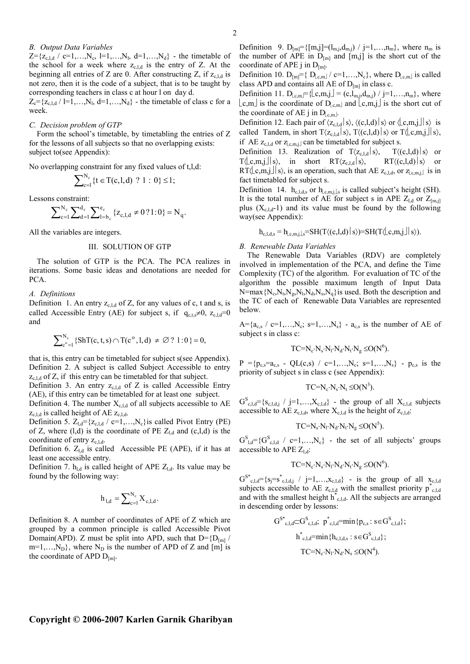## *B. Output Data Variables*

 $Z = \{z_{c,l,d} / c=1,...,N_c, l=1,...,N_l, d=1,...,N_d\}$  - the timetable of the school for a week where  $z_{c,l,d}$  is the entry of Z. At the beginning all entries of Z are 0. After constructing Z, if  $z_{cld}$  is not zero, then it is the code of a subject, that is to be taught by corresponding teachers in class c at hour l on day d.

 $Z_c = \{z_{c,l,d} \mid l=1,...,N_l, d=1,...,N_d\}$  - the timetable of class c for a week.

## *C. Decision problem of GTP*

Form the school's timetable, by timetabling the entries of Z for the lessons of all subjects so that no overlapping exists: subject to(see Appendix):

No overlapping constraint for any fixed values of t,l,d:

$$
\sum\nolimits_{c=1}^{N_c} \{t \in T(c, l, d) \, ? \, 1 : 0\} \leq 1;
$$

Lessons constraint:

$$
\sum\nolimits_{c=1}^{N_c} \sum\nolimits_{d=1}^{d_c} \sum\nolimits_{l=b_c}^{e_c} \{z_{c,l,d} \neq 0\,?\, 1:0\} = N_q.
$$

All the variables are integers.

## III. SOLUTION OF GTP

The solution of GTP is the PCA. The PCA realizes in iterations. Some basic ideas and denotations are needed for PCA.

*A. Definitions* 

Definition 1. An entry  $z_{c,l,d}$  of Z, for any values of c, t and s, is called Accessible Entry (AE) for subject s, if  $q_{\text{c},ts} \neq 0$ ,  $z_{\text{c},ld}=0$ and

$$
\sum\nolimits_{c^o=1}^{N_c} \{ S h T(c,t,s) \cap T(c^o, l, d) \ \neq \varnothing \ ? \ 1 \ : 0 \, \} = 0,
$$

that is, this entry can be timetabled for subject s(see Appendix). Definition 2. A subject is called Subject Accessible to entry  $z_{c,l,d}$  of Z, if this entry can be timetabled for that subject.

Definition 3. An entry  $z_{c,l,d}$  of Z is called Accessible Entry (AE), if this entry can be timetabled for at least one subject.

Definition 4. The number  $X_{c,l,d}$  of all subjects accessible to AE  $z_{c,l,d}$  is called height of AE  $z_{c,l,d}$ .

Definition 5.  $Z_{l,d} = \{z_{c,l,d} / c = 1,...,N_c\}$  is called Pivot Entry (PE) of Z, where  $(l,d)$  is the coordinate of PE  $Z_{l,d}$  and  $(c,l,d)$  is the coordinate of entry  $z_{c,l,d}$ .

Definition 6.  $Z_{l,d}$  is called Accessible PE (APE), if it has at least one accessible entry.

Definition 7.  $h_{\text{ld}}$  is called height of APE  $Z_{\text{ld}}$ . Its value may be found by the following way:

$$
h_{l,d} = \sum_{c=1}^{N_c} X_{c,l,d}.
$$

Definition 8. A number of coordinates of APE of Z which are grouped by a common principle is called Accessible Pivot Domain(APD). Z must be split into APD, such that  $D = {D_{[m]}}/$  $m=1,...,N_D$ , where  $N_D$  is the number of APD of Z and  $[m]$  is the coordinate of APD  $D_{[m]}$ .

Definition 9.  $D_{[m]} = \{ [m,j] = (l_{m,j}, d_{m,j}) / j = 1, \ldots, n_m \}$ , where  $n_m$  is the number of APE in  $D_{[m]}$  and  $[m,j]$  is the short cut of the coordinate of APE j in  $D_{[m]}$ .

Definition 10.  $D_{[m]} = \{ D_{[c,m]} / c = 1,...,N_c \}$ , where  $D_{[c,m]}$  is called class APD and contains all AE of  $D_{[m]}$  in class c.

Definition 11. D<sub>[c,m</sub>]={ $[c,m,j] = (c, l_{m,j}, d_{m,j}) / j=1,...,n_m$ }, where  $\lfloor c,m \rfloor$  is the coordinate of  $D_{\lfloor c,m \rfloor}$  and  $\lfloor c,m,j \rfloor$  is the short cut of the coordinate of AE j in  $D_{\text{l.c,m}}$ .

Definition 12. Each pair of  $\langle z_{c,l,d} | s \rangle$ ,  $\langle (c,l,d) | s \rangle$  or  $\langle \lfloor c,m,j \rfloor | s \rangle$  is called Tandem, in short  $T\langle z_{c,l,d} | s \rangle$ ,  $T\langle (c,l,d) | s \rangle$  or  $T\langle [c,m,j]| s \rangle$ , if AE  $z_{c,l,d}$  or  $z_{c,m,j}$  can be timetabled for subject s.

Definition 13. Realization of  $T\langle z_{c,l,d}|s\rangle$ ,  $T\langle (c,l,d)|s\rangle$  or  $T\langle [c,m,j]|s\rangle$ , in short  $RT\langle [c,l,d]|s\rangle$ ,  $RT\langle [c,l,d]|s\rangle$  or  $RT\langle \lfloor c,m_j \rfloor | s \rangle$ , is an operation, such that AE  $z_{c,l,d}$ , or  $z_{c,m,j}$  is in fact timetabled for subject s.

Definition 14.  $h_{c,l,d,s}$  or  $h_{l,c,m,j,l,s}$  is called subject's height (SH). It is the total number of AE for subject s in APE  $Z_{\text{Ld}}$  or  $Z_{\text{[m,i]}}$ plus  $(X_{c+d} - 1)$  and its value must be found by the following way(see Appendix):

 $h_{c,1,d,s} = h_{c,m,i,s} = SH(T\langle (c,l,d) | s \rangle) = SH(T\langle c,m,j | s \rangle).$ 

## *B. Renewable Data Variables*

The Renewable Data Variables (RDV) are completely involved in implementation of the PCA, and define the Time Complexity (TC) of the algorithm. For evaluation of TC of the algorithm the possible maximum length of Input Data  $N = max\{N_c, N_t, N_g, N_l, N_d, N_s, N_q\}$  is used. Both the description and the TC of each of Renewable Data Variables are represented below.

 $A = \{a_{c,s} \mid c=1,...,N_c; s=1,...,N_s\}$  -  $a_{c,s}$  is the number of AE of subject s in class c:

$$
TC = N_c \cdot N_s \cdot N_l \cdot N_d \cdot N_t \cdot N_g \leq O(N^6).
$$

 $P = {p_{c,s} = a_{c,s} - QL(c,s) / c=1,...,N_c; s=1,...,N_s} - p_{c,s}$  is the priority of subject s in class c (see Appendix):

$$
TC = N_c \cdot N_s \cdot N_t \leq O(N^3).
$$

 $G_{c,l,d}^S = \{s_{c,l,d,j} / j=1,\ldots,X_{c,l,d}\}\$  - the group of all  $X_{c,l,d}$  subjects accessible to AE  $z_{c,l,d}$ , where  $X_{c,l,d}$  is the height of  $z_{c,l,d}$ :

$$
TC = N_s \cdot N_l \cdot N_d \cdot N_t \cdot N_g \leq O(N^5).
$$

 $G_{l,d}^{S} = \{G_{c,l,d}^{S} \mid c=1,...,N_c\}$  - the set of all subjects' groups accessible to APE  $Z_{\text{Ld}}$ :

$$
TC = N_c \cdot N_s \cdot N_l \cdot N_d \cdot N_t \cdot N_g \leq O(N^6).
$$

 $G^{S^*}_{c,l,d} = \{s_j = s_{c,l,d,j}^* / j = 1,...,x_{c,l,d}\}$  - is the group of all  $x_{c,l,d}$ subjects accessible to AE  $z_{c,l,d}$  with the smallest priority  $p^*_{c,l,d}$ and with the smallest height  $h^*_{c,l,d}$ . All the subjects are arranged in descending order by lessons:

$$
G^{S^*}_{c,l,d} \subset G^{S}_{c,l,d}; \ p^*_{c,l,d} = \min \{p_{c,s}: s \in G^{S}_{c,l,d}\};
$$

$$
h^*_{c,l,d} = \min \{h_{c,l,d,s}: s \in G^{S}_{c,l,d}\};
$$

$$
TC = N_c \cdot N_l \cdot N_d \cdot N_s \leq O(N^4).
$$

# **Copyright © 2006-2007 Karlen Garnik Gharibyan**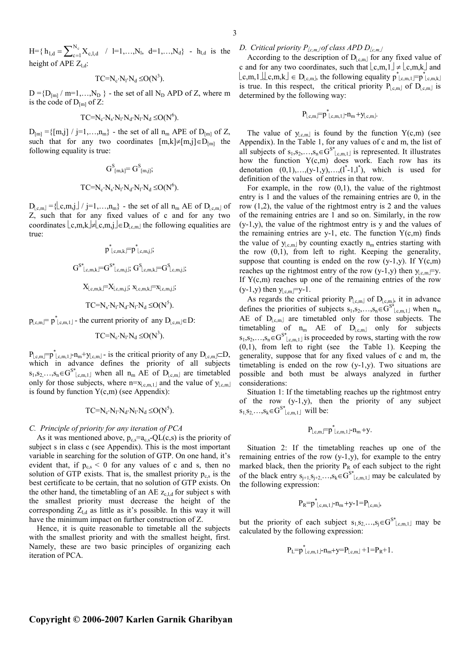$H = \{ h_{l,d} = \sum_{c=1}^{N_c} \}$  $h_{l,d} = \sum_{c=1}^{l} X_{c,l,d}$  / l=1,...,N<sub>l</sub>, d=1,...,N<sub>d</sub>} - h<sub>l,d</sub> is the height of APE  $Z_{1d}$ :

$$
TC = N_c \cdot N_l \cdot N_d \leq O(N^3).
$$

 $D = {D_{[m]} / m=1,...,N_D}$  - the set of all N<sub>D</sub> APD of Z, where m is the code of  $D_{[m]}$  of Z:

$$
TC = N_c \cdot N_s \cdot N_l \cdot N_d \cdot N_l \cdot N_d \leq O(N^6).
$$

 $D_{[m]} = \{ [m,j] / j=1,...,n_m \}$  - the set of all  $n_m$  APE of  $D_{[m]}$  of Z, such that for any two coordinates  $[m,k]\neq[m,j]\in D_{[m]}$  the following equality is true:

$$
G^S_{[m,k]} = G^S_{[m,j]};
$$
  
TC=N<sub>c</sub>·N<sub>s</sub>·N<sub>l</sub>·N<sub>d</sub>·N<sub>l</sub>·N<sub>d</sub> ≤O(N<sup>6</sup>).

 $D_{\lfloor c,m\rfloor} = \{\lfloor c,m,j\rfloor / j=1,\ldots,n_m\}$  - the set of all  $n_m$  AE of  $D_{\lfloor c,m\rfloor}$  of Z, such that for any fixed values of c and for any two coordinates  $\lfloor c,m,k \rfloor \neq \lfloor c,m,j \rfloor \in D_{\lfloor c,m \rfloor}$  the following equalities are true:

$$
p^*_{c,m,k} = p^*_{c,m,j};
$$
  
\n
$$
G^{S^*}_{c,m,k} = G^{S^*}_{c,m,j}; G^S_{c,m,k} = G^S_{c,m,j};
$$
  
\n
$$
X_{c,m,k} = X_{c,m,j}; x_{c,m,k} = x_{c,m,j};
$$
  
\n
$$
TC = N_s \cdot N_l \cdot N_d \cdot N_l \cdot N_d \leq O(N^5).
$$

 $p_{\lfloor c,m\rfloor} = p^*_{\lfloor c,m,1\rfloor}$  - the current priority of any  $D_{\lfloor c,m\rfloor} \in D$ :

$$
TC = N_c \cdot N_l \cdot N_d \leq O(N^3).
$$

 $P_{\lfloor c,m\rfloor} = p^*_{\lfloor c,m,1\rfloor} - n_m + y_{\lfloor c,m\rfloor} -$  is the critical priority of any  $D_{\lfloor c,m\rfloor} \subset D$ , which in advance defines the priority of all subjects  $s_1, s_2, \ldots, s_n \in G^{S^*}$ <sub>c,m,1</sub> when all  $n_m$  AE of  $D_{\lfloor c,m \rfloor}$  are timetabled only for those subjects, where  $n = x_{\lfloor c,m,1 \rfloor}$  and the value of  $y_{\lfloor c,m \rfloor}$ is found by function  $Y(c,m)$  (see Appendix):

$$
TC = N_c \cdot N_l \cdot N_d \cdot N_l \cdot N_d \leq O(N^5).
$$

## *C. Principle of priority for any iteration of PCA*

As it was mentioned above,  $p_{cs} = a_{cs} - Q L(c,s)$  is the priority of subject s in class c (see Appendix). This is the most important variable in searching for the solution of GTP. On one hand, it's evident that, if  $p_{c,s} < 0$  for any values of c and s, then no solution of GTP exists. That is, the smallest priority  $p_{c,s}$  is the best certificate to be certain, that no solution of GTP exists. On the other hand, the timetabling of an AE  $z_{c,l,d}$  for subject s with the smallest priority must decrease the height of the corresponding  $Z_{\rm Id}$  as little as it's possible. In this way it will have the minimum impact on further construction of Z.

Hence, it is quite reasonable to timetable all the subjects with the smallest priority and with the smallest height, first. Namely, these are two basic principles of organizing each iteration of PCA.

*D. Critical priority Pc,m of class APD Dc,m*

According to the description of  $D_{\lfloor c,m\rfloor}$  for any fixed value of c and for any two coordinates, such that  $\lfloor c,m,1 \rfloor \neq \lfloor c,m,k \rfloor$  and  $\lfloor c,m,1 \rfloor \rfloor c,m,k \rfloor \in D_{\lfloor c,m \rfloor}$ , the following equality  $p^*_{\lfloor c,m,1 \rfloor} \supseteq p^*_{\lfloor c,m,k \rfloor}$ is true. In this respect, the critical priority  $P_{[c,m]}$  of  $D_{[c,m]}$  is determined by the following way:

$$
P_{\lfloor c,m\rfloor}=p^*_{\lfloor c,m,1\rfloor}\hbox{-} n_m\hbox{-} y_{\lfloor c,m\rfloor}.
$$

The value of  $y_{\text{c,m}}$  is found by the function  $Y(c,m)$  (see Appendix). In the Table 1, for any values of c and m, the list of all subjects of  $s_1, s_2, \ldots, s_n \in G^{S^*}|_{c,m,1}$  is represented. It illustrates how the function  $Y(c,m)$  does work. Each row has its denotation  $(0,1),..., (y-1,y),..., (1^* -1,1^*)$ , which is used for definition of the values of entries in that row.

For example, in the row  $(0,1)$ , the value of the rightmost entry is 1 and the values of the remaining entries are 0, in the row (1,2), the value of the rightmost entry is 2 and the values of the remaining entries are 1 and so on. Similarly, in the row (y-1,y), the value of the rightmost entry is y and the values of the remaining entries are y-1, etc. The function  $Y(c,m)$  finds the value of  $y_{\text{c,m}}$  by counting exactly  $n_{\text{m}}$  entries starting with the row (0,1), from left to right. Keeping the generality, suppose that counting is ended on the row  $(y-1,y)$ . If  $Y(c,m)$ reaches up the rightmost entry of the row (y-1,y) then  $y_{c,m}$ =y. If  $Y(c,m)$  reaches up one of the remaining entries of the row  $(y-1,y)$  then  $y_{\text{l.c,m}}$  = y-1.

As regards the critical priority  $P_{[c,m]}$  of  $D_{[c,m]}$ , it in advance defines the priorities of subjects  $s_1, s_2, \ldots, s_n \in G^{S^*}|_{c,m,1}$  when  $n_m$ AE of  $D_{\lfloor c,m\rfloor}$  are timetabled only for those subjects. The timetabling of  $n_m$  AE of  $D_{\lfloor c,m\rfloor}$  only for subjects  $s_1, s_2, \ldots, s_n \in G^{S^*}$ <sub>c,m,1</sub> is proceeded by rows, starting with the row (0,1), from left to right (see the Table 1). Keeping the generality, suppose that for any fixed values of c and m, the timetabling is ended on the row (y-1,y). Two situations are possible and both must be always analyzed in further considerations:

Situation 1: If the timetabling reaches up the rightmost entry of the row (y-1,y), then the priority of any subject  $s_1, s_2, \ldots, s_k \in G^{S^*}|_{c,m,1}$  will be:

$$
P_{\lfloor c,m\rfloor}=p^*_{\lfloor c,m,1\rfloor}\hbox{-} n_m+y.
$$

Situation 2: If the timetabling reaches up one of the remaining entries of the row (y-1,y), for example to the entry marked black, then the priority  $P_R$  of each subject to the right of the black entry  $s_{j+1}, s_{j+2},..., s_k \in G^{S^*}|_{c,m,1}]$  may be calculated by the following expression:

$$
P_R = p^*_{c,m,1} - n_m + y - 1 = P_{c,m}
$$
,

but the priority of each subject  $s_1, s_2, \ldots, s_j \in G^{S^*}|_{c,m,1}$  may be calculated by the following expression:

$$
P_L = p^*_{\lfloor c,m,1 \rfloor} - n_m + y = P_{\lfloor c,m \rfloor} + 1 = P_R + 1.
$$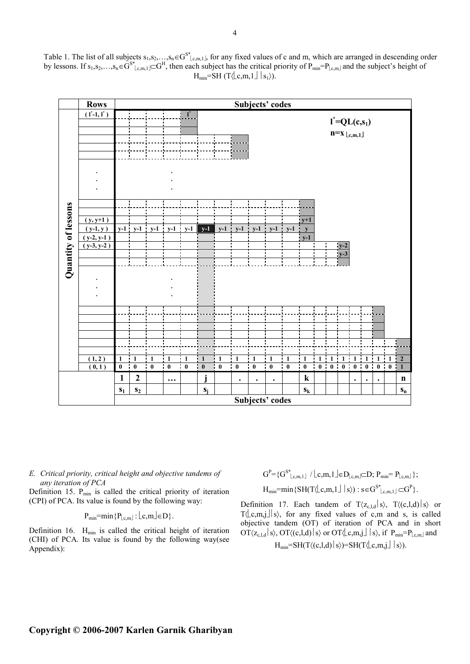

Table 1. The list of all subjects  $s_1, s_2,..., s_n \in G^{S^*}$ <sub>lc,m,1</sub>, for any fixed values of c and m, which are arranged in descending order by lessons. If  $s_1, s_2, \ldots, s_n \in G^{s^*}$ <sub>Le,m,1</sub> $\subset G^H$ , then each subject has the critical priority of  $P_{min} = P_{L,c,m}$  and the subject's height of  $H_{min} = SH(T \langle \lfloor c,m,1 \rfloor | s_1 \rangle).$ 

*E. Critical priority, critical height and objective tandems of any iteration of PCA* 

Definition 15. P<sub>min</sub> is called the critical priority of iteration (CPI) of PCA. Its value is found by the following way:

$$
P_{\min} = \min \{ P_{\lfloor c,m \rfloor} : \lfloor c,m \rfloor \in D \}.
$$

Definition 16.  $H_{min}$  is called the critical height of iteration (CHI) of PCA. Its value is found by the following way(see Appendix):

 $G^{P} = \{G^{S^*}|_{c,m,1} \mid c,m,1 \leq D_{\lfloor c,m \rfloor} \subset D; P_{min} = P_{\lfloor c,m \rfloor} \};$  $H_{min} = min\{SH(T\langle \lfloor c,m,1 \rfloor \mid s \rangle) : s \in G^{S^*} \lfloor_{c,m,1} \rfloor \subset G^P\}.$ 

Definition 17. Each tandem of  $T\langle z_{c,l,d} | s \rangle$ ,  $T\langle (c,l,d) | s \rangle$  or  $T(\lfloor c,m,j \rfloor | s)$ , for any fixed values of c,m and s, is called objective tandem (OT) of iteration of PCA and in short  $\mathrm{OT}\langle z_{c,l,d} | s \rangle$ ,  $\mathrm{OT}\langle (c,l,d) | s \rangle$  or  $\mathrm{OT}\langle \lfloor c,m,j \rfloor | s \rangle$ , if  $P_{\text{min}}=P_{\lfloor c,m \rfloor}$  and  $H_{min} = SH(T \langle (c,l,d) | s \rangle) = SH(T \langle c,m,j | s \rangle).$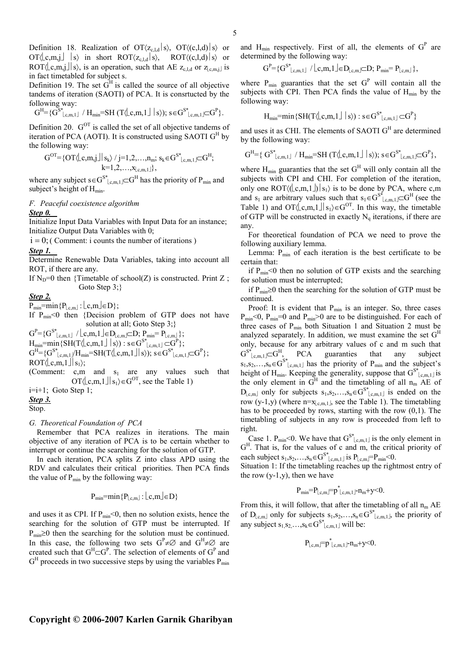Definition 18. Realization of  $OT\langle z_{c,l,d} | s \rangle$ ,  $OT\langle (c,l,d) | s \rangle$  or  $\text{OT}\langle \lfloor c,m,j \rfloor \rfloor$  s) in short  $\text{ROT}\langle z_{c,l,d} | s \rangle$ ,  $\text{ROT}\langle (c,l,d) | s \rangle$  or ROT $\langle \text{c,m}, j \rangle$  is an operation, such that AE  $z_{c,l,d}$  or  $z_{c,m,j}$  is in fact timetabled for subject s.

Definition 19. The set  $G<sup>H</sup>$  is called the source of all objective tandems of iteration (SAOTI) of PCA. It is consrtucted by the following way:

$$
G^H\!\!=\!\!\{G^{S^*}\!\!\!\lfloor_{c,m,1}\!\rfloor \text{ / } H_{min}\!\!=\!\!SH\left(T\!\!\left\langle \!\lfloor_{c,m,1}\!\rfloor\!\rfloor\!\rfloor\right.\!|s\rangle\right)\!\! \right)\text{ , } s\!\in\! G^{S^*}\!\!\!\!\lfloor_{c,m,1}\!\rfloor\!\!\subset\!\! G^P\}\text{ .}
$$

Definition 20.  $G^{OT}$  is called the set of all objective tandems of iteration of PCA (AOTI). It is constructed using SAOTI  $G<sup>H</sup>$  by the following way:

$$
G^{OT} = \{ OT\langle \lfloor c,m,j \rfloor | s_k \rangle / j=1,2,\ldots,n_m; s_k \in G^{S^*} \lfloor_{c,m,1} \rfloor \subseteq G^H;\\ k=1,2,\ldots,x_{\lfloor c,m,1 \rfloor} \},
$$

where any subject s∈ $G^{S^*}|_{c,m,1}$   $\subset G^H$  has the priority of P<sub>min</sub> and subject's height of  $H_{min}$ .

## *F. Peaceful coexistence algorithm Step 0.*

Initialize Input Data Variables with Input Data for an instance; Initialize Output Data Variables with 0;

 $i = 0$ ; (Comment: i counts the number of iterations)

*Step 1.* 

Determine Renewable Data Variables, taking into account all ROT, if there are any.

If  $N_D=0$  then {Timetable of school(Z) is constructed. Print Z; Goto Step 3;}

# *Step 2.*

 $P_{\min}$ =min{ $P_{[c,m]}$ : $[c,m] \in D$ };

If  $P_{\text{min}}<0$  then {Decision problem of GTP does not have solution at all; Goto Step 3;}

 $G^{P} = \{G^{S^*}|_{c,m,1} \mid c, m, 1 \leq D_{c,m} \subseteq D; P_{min} = P_{c,m} \};$ 

 $H_{min} = min\{SH(T\langle \lfloor c,m,1 \rfloor \mid s \rangle) : s \in G^{S^*} \lfloor_{c,m,1} \rfloor \subset G^P\};$  $G^H = {G^S}_{c,m,1}^* / H_{min} = SH(T \langle c,m,1 \rangle | s \rangle); s \in G^{S^*}_{c,m,1} \subset G^P;$ 

 $ROT\langle \lfloor \text{c.m.1} \rfloor \rfloor \rfloor_{S_1}$ 

(Comment:  $c,m$  and  $s_1$  are any values such that OT $\langle \lfloor c,m,1 \rfloor | s_1 \rangle \in G^{OT}$ , see the Table 1)

 $i=i+1$ ; Goto Step 1; *Step 3.*

Stop.

## *G. Theoretical Foundation of PCA*

Remember that PCA realizes in iterations. The main objective of any iteration of PCA is to be certain whether to interrupt or continue the searching for the solution of GTP.

In each iteration, PCA splits Z into class APD using the RDV and calculates their critical priorities. Then PCA finds the value of  $P_{min}$  by the following way:

$$
P_{\min} = \min\{P_{\lfloor c,m\rfloor} : \lfloor c,m \rfloor \in D\}
$$

and uses it as CPI. If  $P_{min} < 0$ , then no solution exists, hence the searching for the solution of GTP must be interrupted. If  $P_{\text{min}} \geq 0$  then the searching for the solution must be continued. In this case, the following two sets  $G^P \neq \emptyset$  and  $G^H \neq \emptyset$  are created such that  $G^H \subset G^P$ . The selection of elements of  $G^P$  and  $G<sup>H</sup>$  proceeds in two successive steps by using the variables  $P_{min}$ 

and  $H_{min}$  respectively. First of all, the elements of  $G<sup>P</sup>$  are determined by the following way:

$$
G^{P} = \{G^{S^*}|_{c,m,1}] / \lfloor c,m,1 \rfloor \in D_{\lfloor c,m\rfloor} \subset D; \ P_{min} = P_{\lfloor c,m\rfloor} \},
$$

where  $P_{min}$  guaranties that the set  $G<sup>P</sup>$  will contain all the subjects with CPI. Then PCA finds the value of  $H_{min}$  by the following way:

$$
H_{min} = min\{SH(T\langle\lfloor c,m,1\rfloor\mid s\rangle) : s \in G^{S^*}\lfloor_{c,m,1}\rfloor \subset G^P\}
$$

and uses it as CHI. The elements of SAOTI  $G<sup>H</sup>$  are determined by the following way:

$$
G^H\!\!=\!\{\ G^{S^*}_{\lfloor c,m,1\rfloor}\ /\ H_{min}\!\!=\!\!SH\,(T\!\!\left\langle \!\left\lfloor c,m,1\right\rfloor\right\rfloor\!\mid\! s\rangle\!) ;\,s\!\in\! G^{S^*}_{\lfloor c,m,1\rfloor}\!\!\subset\!\! G^P\},
$$

where  $H_{min}$  guaranties that the set  $G<sup>H</sup>$  will only contain all the subjects with CPI and CHI. For completion of the iteration, only one ROT $\langle$ ( $\lfloor$ c,m,1 $\rfloor$ )  $\rfloor$  s<sub>1</sub> $\rangle$  is to be done by PCA, where c,m and s<sub>1</sub> are arbitrary values such that  $s_1 \in G^{S^*}|_{c,m,1} \subset G^H$  (see the Table 1) and  $OT\langle \lfloor c,m,1 \rfloor | s_1 \rangle \in G^{OT}$ . In this way, the timetable of GTP will be constructed in exactly  $N_q$  iterations, if there are any.

For theoretical foundation of PCA we need to prove the following auxiliary lemma.

Lemma:  $P_{min}$  of each iteration is the best certificate to be certain that:

if  $P_{min}$ <0 then no solution of GTP exists and the searching for solution must be interrupted;

if  $P_{min}$ ≥0 then the searching for the solution of GTP must be continued.

Proof: It is evident that  $P_{min}$  is an integer. So, three cases  $P_{min}$ <0,  $P_{min}$ =0 and  $P_{min}$ >0 are to be distinguished. For each of three cases of  $P_{min}$  both Situation 1 and Situation 2 must be analyzed separately. In addition, we must examine the set  $G<sup>H</sup>$ only, because for any arbitrary values of c and m such that  $G^{S^*}|_{c,m,1} \subset G^H$ , PCA guaranties that any subject  $s_1, s_2, \ldots, s_n \in G^{S^*}|_{s,m,1}$  has the priority of  $P_{min}$  and the subject's height of  $H_{min}$ . Keeping the generality, suppose that  $G^{S^*}_{\lfloor c,m,1 \rfloor}$  is the only element in  $G^H$  and the timetabling of all  $n_m$  AE of  $D_{\lfloor c,m\rfloor}$  only for subjects  $s_1, s_2,..., s_n \in G^{S^*}$ <sub> $\lfloor c,m,1 \rfloor$ </sub> is ended on the row (y-1,y) (where  $n=x_{\text{L},m,1}$ , see the Table 1). The timetabling has to be proceeded by rows, starting with the row  $(0,1)$ . The timetabling of subjects in any row is proceeded from left to right.

Case 1.  $P_{\text{min}} < 0$ . We have that  $G^{S^*}|_{c,m,1}$  is the only element in G<sup>H</sup>. That is, for the values of c and m, the critical priority of each subject  $s_1, s_2, \ldots, s_n \in G^{S^*}|_{c,m,1}$  is  $P_{\lfloor c,m \rfloor} = P_{\min} < 0$ .

Situation 1: If the timetabling reaches up the rightmost entry of the row  $(y-1,y)$ , then we have

$$
P_{min} = P_{\lfloor c,m \rfloor} = p^*_{\lfloor c,m,1 \rfloor} n_m + y < 0.
$$

From this, it will follow, that after the timetabling of all  $n_m$  AE of D<sub>lc,m</sub> only for subjects  $s_1, s_2, \ldots, s_n \in G^{S^*}|_{c,m,1}$ , the priority of any subject  $s_1, s_2, \ldots, s_k \in G^{S^*}|_{c,m,1}$  will be:

$$
P_{\lfloor c,m\rfloor}=p^*_{\lfloor c,m,1\rfloor}n_m+y<0.
$$

# **Copyright © 2006-2007 Karlen Garnik Gharibyan**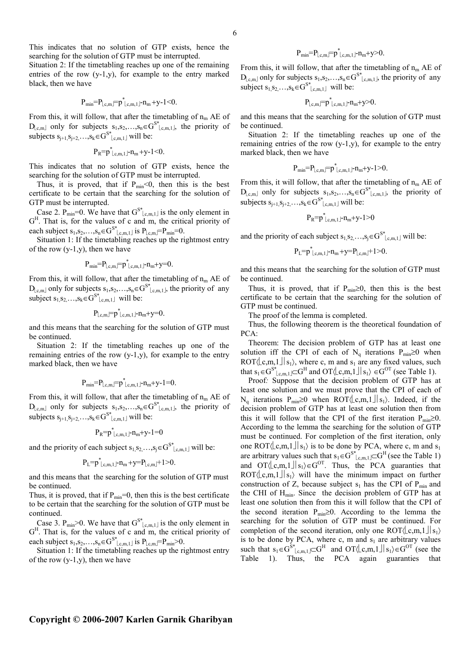This indicates that no solution of GTP exists, hence the searching for the solution of GTP must be interrupted.

Situation 2: If the timetabling reaches up one of the remaining entries of the row (y-1,y), for example to the entry marked black, then we have

$$
P_{min} = P_{\lfloor c,m \rfloor} = p^*_{\lfloor c,m,1 \rfloor} n_m + y - 1 < 0.
$$

From this, it will follow, that after the timetabling of  $n_m$  AE of  $D_{\lfloor c,m\rfloor}$  only for subjects  $s_1, s_2,...,s_n \in G^{S^*}{}_{\lfloor c,m,1\rfloor}$ , the priority of subjects  $s_{j+1}, s_{j+2}, \ldots, s_k \in G^{S^*}|_{c,m,1}]$  will be:

$$
P_R = p^*_{\lfloor c, m, 1 \rfloor} n_m + y - 1 < 0.
$$

This indicates that no solution of GTP exists, hence the searching for the solution of GTP must be interrupted.

Thus, it is proved, that if  $P_{min} < 0$ , then this is the best certificate to be certain that the searching for the solution of GTP must be interrupted.

Case 2.  $P_{min} = 0$ . We have that  $G^{S^*}|_{c,m,1}$  is the only element in G<sup>H</sup>. That is, for the values of c and m, the critical priority of each subject  $s_1, s_2, \ldots, s_n \in G^{S^*}|_{c,m,1}$  is  $P_{\lfloor c,m \rfloor} = P_{\text{min}} = 0$ .

Situation 1: If the timetabling reaches up the rightmost entry of the row (y-1,y), then we have

$$
P_{min} = P_{\lfloor c,m \rfloor} = p^*_{\lfloor c,m,1 \rfloor} n_m + y = 0.
$$

From this, it will follow, that after the timetabling of  $n_m$  AE of  $D_{\lfloor c,m\rfloor}$  only for subjects  $s_1, s_2, \ldots, s_n \in G^{S^*}(\lfloor c,m,1 \rfloor)$ , the priority of any subject  $s_1, s_2, \ldots, s_k \in G^{S^*}|_{c,m,1}$  will be:

$$
P_{\lfloor c,m\rfloor}=p^*_{\lfloor c,m,1\rfloor} \hbox{-} n_m \hbox{+} y \hbox{=} 0.
$$

and this means that the searching for the solution of GTP must be continued.

Situation 2: If the timetabling reaches up one of the remaining entries of the row  $(y-1,y)$ , for example to the entry marked black, then we have

$$
P_{min} = P_{\lfloor c,m \rfloor} = p^*_{\lfloor c,m,1 \rfloor} \cdot n_m + y \cdot 1 = 0.
$$

From this, it will follow, that after the timetabling of  $n_m$  AE of  $D_{\lfloor c,m\rfloor}$  only for subjects  $s_1, s_2,...,s_n \in G^{S^*}{}_{\lfloor c,m,1\rfloor}$ , the priority of subjects  $s_{j+1}, s_{j+2}, \ldots, s_k \in G^{S^*}|_{c,m,1}]$  will be:

$$
P_R = p^*_{\lfloor c, m, 1 \rfloor} - n_m + y - 1 = 0
$$

and the priority of each subject  $s_1, s_2, \ldots, s_j \in G^{S^*}|_{c,m,1}$  will be:

$$
P_{L} = p^*_{\lfloor c,m,1 \rfloor} - n_m + y = P_{\lfloor c,m \rfloor} + 1 > 0.
$$

and this means that the searching for the solution of GTP must be continued.

Thus, it is proved, that if  $P_{min}=0$ , then this is the best certificate to be certain that the searching for the solution of GTP must be continued.

Case 3.  $P_{min} > 0$ . We have that  $G^{S^*}|_{c,m,1}$  is the only element in G<sup>H</sup>. That is, for the values of c and m, the critical priority of each subject  $s_1, s_2, \ldots, s_n \in G^{S^*}|_{c,m,1}$  is  $P_{\lfloor c,m \rfloor} = P_{\text{min}} > 0$ .

Situation 1: If the timetabling reaches up the rightmost entry of the row  $(y-1,y)$ , then we have

$$
P_{min}=P_{\lfloor c,m\rfloor}=p^*_{\lfloor c,m,1\rfloor}n_m+y>0.
$$

From this, it will follow, that after the timetabling of  $n_m$  AE of  $D_{\lfloor c,m\rfloor}$  only for subjects  $s_1, s_2, \ldots, s_n \in G^{S^*}({\lfloor c,m,1 \rfloor})$ , the priority of any subject  $s_1, s_2, \ldots, s_k \in G^{S^*}|_{c,m,1}$  will be:

$$
P_{\lfloor c,m\rfloor}=p^*_{\lfloor c,m,1\rfloor} \text{-} n_m \text{+} y \text{>} 0.
$$

and this means that the searching for the solution of GTP must be continued.

Situation 2: If the timetabling reaches up one of the remaining entries of the row (y-1,y), for example to the entry marked black, then we have

$$
P_{min} = P_{\lfloor c,m \rfloor} = p^*_{\lfloor c,m,1 \rfloor} \cdot n_m + y - 1 > 0.
$$

From this, it will follow, that after the timetabling of  $n_m$  AE of  $D_{\lfloor c,m\rfloor}$  only for subjects  $s_1, s_2,..., s_n \in G^{S^*}$ <sub>Lc,m,1</sub>, the priority of subjects  $s_{j+1}, s_{j+2},..., s_k \in G^{S^*}|_{c,m,1}]$  will be:

$$
P_R = p^*_{\lfloor c, m, 1 \rfloor} - n_m + y - 1 > 0
$$

and the priority of each subject  $s_1, s_2, \ldots, s_j \in G^{S^*}|_{c,m,1}$  will be:

 $P_L=p^*_{\lfloor c,m,1\rfloor}\text{-}n_m+\text{y}=P_{\lfloor c,m\rfloor}\text{+}1\text{>0}.$ 

and this means that the searching for the solution of GTP must be continued.

Thus, it is proved, that if  $P_{min} \ge 0$ , then this is the best certificate to be certain that the searching for the solution of GTP must be continued.

The proof of the lemma is completed.

Thus, the following theorem is the theoretical foundation of PCA:

Theorem: The decision problem of GTP has at least one solution iff the CPI of each of N<sub>q</sub> iterations P<sub>min</sub>≥0 when ROT $\langle c,m,1 \rangle | s_1 \rangle$ , where c, m and  $s_1$  are any fixed values, such that  $s_1 \in G^{S^*}|_{c,m,1} \subset G^H$  and  $OT\langle \lfloor c,m,1 \rfloor \rfloor s_1 \rangle \in G^{OT}$  (see Table 1).

Proof*:* Suppose that the decision problem of GTP has at least one solution and we must prove that the CPI of each of N<sub>q</sub> iterations P<sub>min</sub>≥0 when ROT $\langle \lfloor c,m,1 \rfloor \rfloor s_1$ . Indeed, if the decision problem of GTP has at least one solution then from this it will follow that the CPI of the first iteration  $P_{min} \ge 0$ . According to the lemma the searching for the solution of GTP must be continued. For completion of the first iteration, only one ROT $\langle c,m,1 \rangle | s_1 \rangle$  is to be done by PCA, where c, m and  $s_1$ are arbitrary values such that  $s_1 \in G^{S^*}|_{c,m,1} \subset G^H$  (see the Table 1) and OT $\langle \text{Lc}, \text{m}, 1 | \text{S}_1 \rangle \in G^{OT}$ . Thus, the PCA guaranties that  $ROT\langle\lfloor c,m,1\rfloor\rfloor_{S_1}\rangle$  will have the minimum impact on further construction of Z, because subject  $s_1$  has the CPI of  $P_{min}$  and the CHI of  $H_{min}$ . Since the decision problem of GTP has at least one solution then from this it will follow that the CPI of the second iteration  $P_{min} \ge 0$ . According to the lemma the searching for the solution of GTP must be continued. For completion of the second iteration, only one ROT $\langle c,m,1|$   $|s_1\rangle$ is to be done by PCA, where c, m and  $s<sub>1</sub>$  are arbitrary values such that  $s_1 \in G^{S^*}$ <sub>c,m,1</sub>  $\subset G^H$  and  $OT\langle \text{Lc}, \text{m}, \text{L} \rangle \in G^{OT}$  (see the Table 1). Thus, the PCA again guaranties that